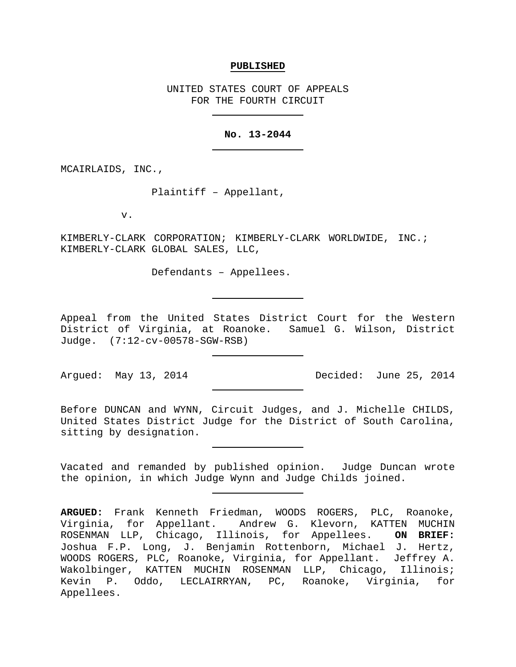#### **PUBLISHED**

UNITED STATES COURT OF APPEALS FOR THE FOURTH CIRCUIT

## **No. 13-2044**

MCAIRLAIDS, INC.,

Plaintiff – Appellant,

v.

KIMBERLY-CLARK CORPORATION; KIMBERLY-CLARK WORLDWIDE, INC.; KIMBERLY-CLARK GLOBAL SALES, LLC,

Defendants – Appellees.

Appeal from the United States District Court for the Western District of Virginia, at Roanoke. Samuel G. Wilson, District Judge. (7:12-cv-00578-SGW-RSB)

Argued: May 13, 2014 Decided: June 25, 2014

Before DUNCAN and WYNN, Circuit Judges, and J. Michelle CHILDS, United States District Judge for the District of South Carolina, sitting by designation.

Vacated and remanded by published opinion. Judge Duncan wrote the opinion, in which Judge Wynn and Judge Childs joined.

**ARGUED:** Frank Kenneth Friedman, WOODS ROGERS, PLC, Roanoke, Virginia, for Appellant. Andrew G. Klevorn, KATTEN MUCHIN ROSENMAN LLP, Chicago, Illinois, for Appellees. **ON BRIEF:** Joshua F.P. Long, J. Benjamin Rottenborn, Michael J. Hertz, WOODS ROGERS, PLC, Roanoke, Virginia, for Appellant. Jeffrey A. Wakolbinger, KATTEN MUCHIN ROSENMAN LLP, Chicago, Illinois; Kevin P. Oddo, LECLAIRRYAN, PC, Roanoke, Virginia, for Appellees.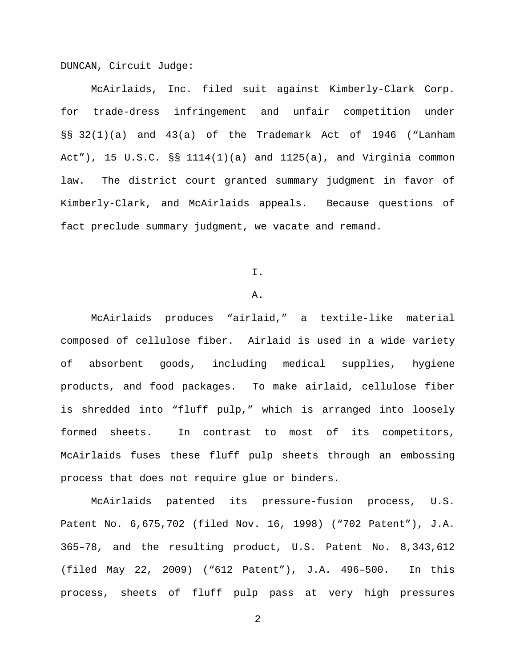DUNCAN, Circuit Judge:

McAirlaids, Inc. filed suit against Kimberly-Clark Corp. for trade-dress infringement and unfair competition under §§ 32(1)(a) and 43(a) of the Trademark Act of 1946 ("Lanham Act"), 15 U.S.C.  $\S$ § 1114(1)(a) and 1125(a), and Virginia common law. The district court granted summary judgment in favor of Kimberly-Clark, and McAirlaids appeals. Because questions of fact preclude summary judgment, we vacate and remand.

I.

## A.

McAirlaids produces "airlaid," a textile-like material composed of cellulose fiber. Airlaid is used in a wide variety of absorbent goods, including medical supplies, hygiene products, and food packages. To make airlaid, cellulose fiber is shredded into "fluff pulp," which is arranged into loosely formed sheets. In contrast to most of its competitors, McAirlaids fuses these fluff pulp sheets through an embossing process that does not require glue or binders.

McAirlaids patented its pressure-fusion process, U.S. Patent No. 6,675,702 (filed Nov. 16, 1998) ("702 Patent"), J.A. 365–78, and the resulting product, U.S. Patent No. 8,343,612 (filed May 22, 2009) ("612 Patent"), J.A. 496–500. In this process, sheets of fluff pulp pass at very high pressures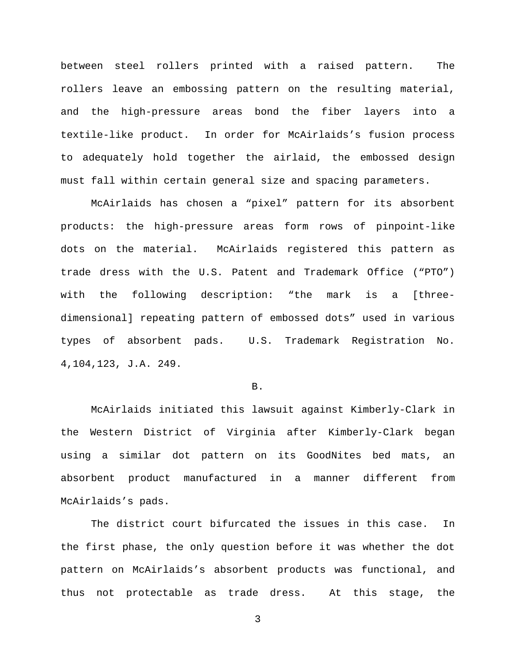between steel rollers printed with a raised pattern. The rollers leave an embossing pattern on the resulting material, and the high-pressure areas bond the fiber layers into a textile-like product. In order for McAirlaids's fusion process to adequately hold together the airlaid, the embossed design must fall within certain general size and spacing parameters.

McAirlaids has chosen a "pixel" pattern for its absorbent products: the high-pressure areas form rows of pinpoint-like dots on the material. McAirlaids registered this pattern as trade dress with the U.S. Patent and Trademark Office ("PTO") with the following description: "the mark is a [threedimensional] repeating pattern of embossed dots" used in various types of absorbent pads. U.S. Trademark Registration No. 4,104,123, J.A. 249.

#### B.

McAirlaids initiated this lawsuit against Kimberly-Clark in the Western District of Virginia after Kimberly-Clark began using a similar dot pattern on its GoodNites bed mats, an absorbent product manufactured in a manner different from McAirlaids's pads.

The district court bifurcated the issues in this case. In the first phase, the only question before it was whether the dot pattern on McAirlaids's absorbent products was functional, and thus not protectable as trade dress. At this stage, the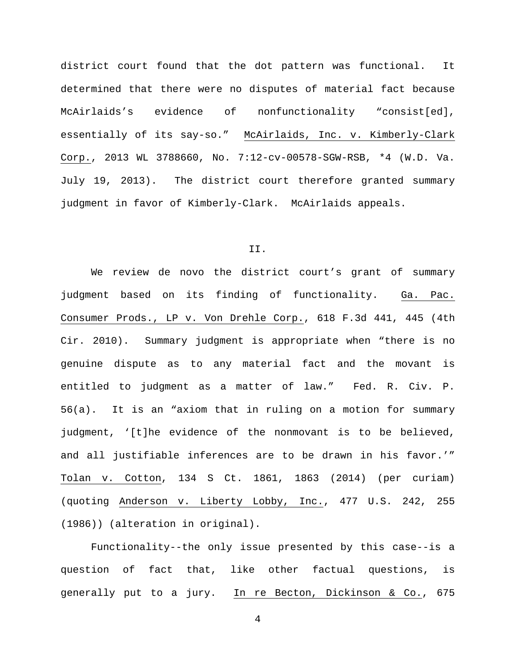district court found that the dot pattern was functional. It determined that there were no disputes of material fact because McAirlaids's evidence of nonfunctionality "consist[ed], essentially of its say-so." McAirlaids, Inc. v. Kimberly-Clark Corp., 2013 WL 3788660, No. 7:12-cv-00578-SGW-RSB, \*4 (W.D. Va. July 19, 2013). The district court therefore granted summary judgment in favor of Kimberly-Clark. McAirlaids appeals.

## II.

We review de novo the district court's grant of summary judgment based on its finding of functionality. Ga. Pac. Consumer Prods., LP v. Von Drehle Corp., 618 F.3d 441, 445 (4th Cir. 2010). Summary judgment is appropriate when "there is no genuine dispute as to any material fact and the movant is entitled to judgment as a matter of law." Fed. R. Civ. P. 56(a). It is an "axiom that in ruling on a motion for summary judgment, '[t]he evidence of the nonmovant is to be believed, and all justifiable inferences are to be drawn in his favor.'" Tolan v. Cotton, 134 S Ct. 1861, 1863 (2014) (per curiam) (quoting Anderson v. Liberty Lobby, Inc., 477 U.S. 242, 255 (1986)) (alteration in original).

Functionality--the only issue presented by this case--is a question of fact that, like other factual questions, is generally put to a jury. In re Becton, Dickinson & Co., 675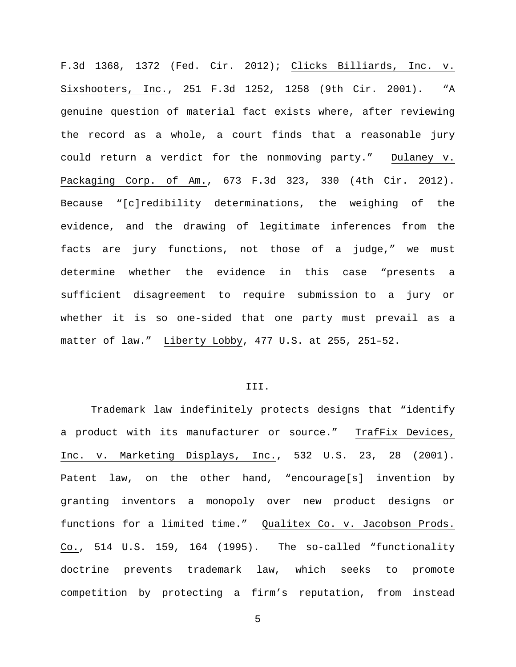F.3d 1368, 1372 (Fed. Cir. 2012); Clicks Billiards, Inc. v. Sixshooters, Inc., 251 F.3d 1252, 1258 (9th Cir. 2001). "A genuine question of material fact exists where, after reviewing the record as a whole, a court finds that a reasonable jury could return a verdict for the nonmoving party." Dulaney v. Packaging Corp. of Am., 673 F.3d 323, 330 (4th Cir. 2012). Because "[c]redibility determinations, the weighing of the evidence, and the drawing of legitimate inferences from the facts are jury functions, not those of a judge," we must determine whether the evidence in this case "presents a sufficient disagreement to require submission to a jury or whether it is so one-sided that one party must prevail as a matter of law." Liberty Lobby, 477 U.S. at 255, 251–52.

### III.

Trademark law indefinitely protects designs that "identify a product with its manufacturer or source." TrafFix Devices, Inc. v. Marketing Displays, Inc., 532 U.S. 23, 28 (2001). Patent law, on the other hand, "encourage[s] invention by granting inventors a monopoly over new product designs or functions for a limited time." Qualitex Co. v. Jacobson Prods. Co., 514 U.S. 159, 164 (1995). The so-called "functionality doctrine prevents trademark law, which seeks to promote competition by protecting a firm's reputation, from instead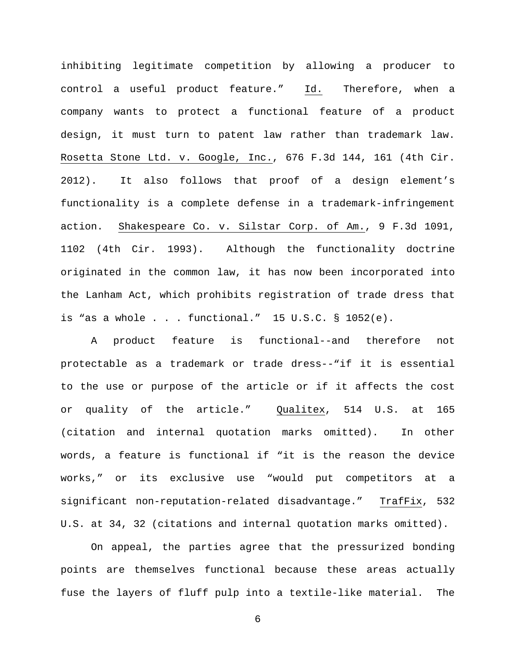inhibiting legitimate competition by allowing a producer to control a useful product feature." Id. Therefore, when a company wants to protect a functional feature of a product design, it must turn to patent law rather than trademark law. Rosetta Stone Ltd. v. Google, Inc., 676 F.3d 144, 161 (4th Cir. 2012). It also follows that proof of a design element's functionality is a complete defense in a trademark-infringement action. Shakespeare Co. v. Silstar Corp. of Am., 9 F.3d 1091, 1102 (4th Cir. 1993). Although the functionality doctrine originated in the common law, it has now been incorporated into the Lanham Act, which prohibits registration of trade dress that is "as a whole . . . functional." 15 U.S.C. § 1052(e).

A product feature is functional--and therefore not protectable as a trademark or trade dress--"if it is essential to the use or purpose of the article or if it affects the cost or quality of the article." Qualitex, 514 U.S. at 165 (citation and internal quotation marks omitted). In other words, a feature is functional if "it is the reason the device works," or its exclusive use "would put competitors at a significant non-reputation-related disadvantage." TrafFix, 532 U.S. at 34, 32 (citations and internal quotation marks omitted).

On appeal, the parties agree that the pressurized bonding points are themselves functional because these areas actually fuse the layers of fluff pulp into a textile-like material. The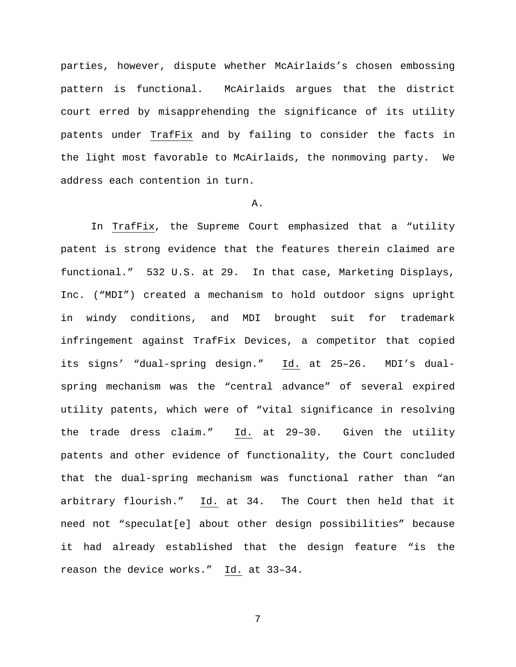parties, however, dispute whether McAirlaids's chosen embossing pattern is functional. McAirlaids argues that the district court erred by misapprehending the significance of its utility patents under TrafFix and by failing to consider the facts in the light most favorable to McAirlaids, the nonmoving party. We address each contention in turn.

# A.

In TrafFix, the Supreme Court emphasized that a "utility patent is strong evidence that the features therein claimed are functional." 532 U.S. at 29. In that case, Marketing Displays, Inc. ("MDI") created a mechanism to hold outdoor signs upright in windy conditions, and MDI brought suit for trademark infringement against TrafFix Devices, a competitor that copied its signs' "dual-spring design." Id. at 25–26. MDI's dualspring mechanism was the "central advance" of several expired utility patents, which were of "vital significance in resolving the trade dress claim." Id. at 29–30. Given the utility patents and other evidence of functionality, the Court concluded that the dual-spring mechanism was functional rather than "an arbitrary flourish." Id. at 34. The Court then held that it need not "speculat[e] about other design possibilities" because it had already established that the design feature "is the reason the device works." Id. at 33–34.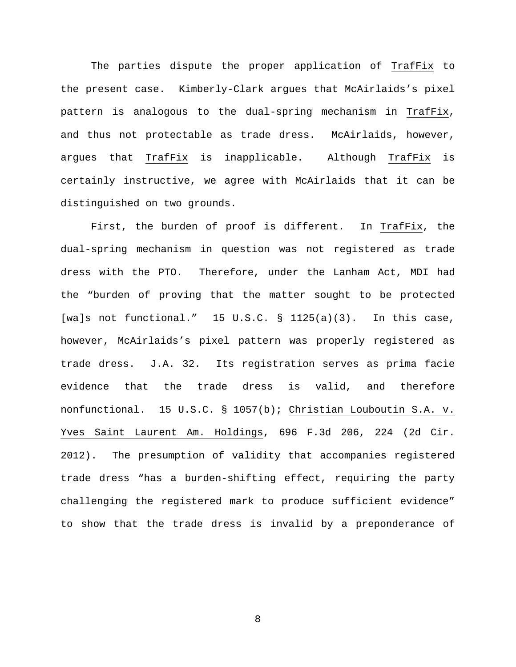The parties dispute the proper application of TrafFix to the present case. Kimberly-Clark argues that McAirlaids's pixel pattern is analogous to the dual-spring mechanism in TrafFix, and thus not protectable as trade dress. McAirlaids, however, argues that TrafFix is inapplicable. Although TrafFix is certainly instructive, we agree with McAirlaids that it can be distinguished on two grounds.

First, the burden of proof is different. In TrafFix, the dual-spring mechanism in question was not registered as trade dress with the PTO. Therefore, under the Lanham Act, MDI had the "burden of proving that the matter sought to be protected [wa]s not functional." 15 U.S.C.  $\S$  1125(a)(3). In this case, however, McAirlaids's pixel pattern was properly registered as trade dress. J.A. 32. Its registration serves as prima facie evidence that the trade dress is valid, and therefore nonfunctional. 15 U.S.C. § 1057(b); Christian Louboutin S.A. v. Yves Saint Laurent Am. Holdings, 696 F.3d 206, 224 (2d Cir. 2012). The presumption of validity that accompanies registered trade dress "has a burden-shifting effect, requiring the party challenging the registered mark to produce sufficient evidence" to show that the trade dress is invalid by a preponderance of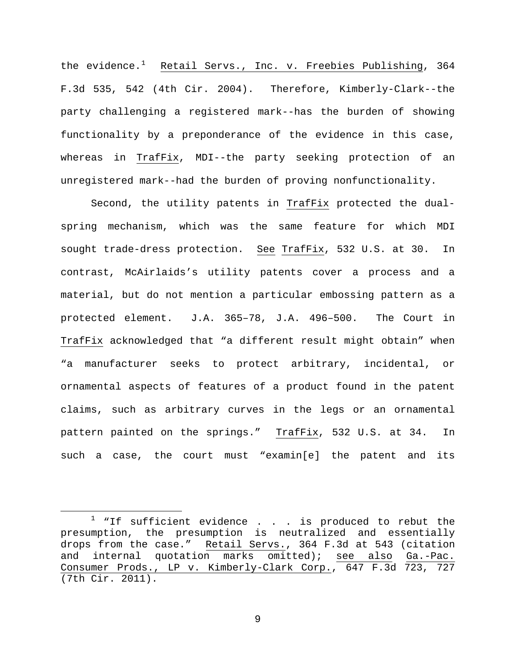the evidence.<sup>[1](#page-8-0)</sup> Retail Servs., Inc. v. Freebies Publishing, 364 F.3d 535, 542 (4th Cir. 2004). Therefore, Kimberly-Clark--the party challenging a registered mark--has the burden of showing functionality by a preponderance of the evidence in this case, whereas in TrafFix, MDI--the party seeking protection of an unregistered mark--had the burden of proving nonfunctionality.

Second, the utility patents in TrafFix protected the dualspring mechanism, which was the same feature for which MDI sought trade-dress protection. See TrafFix, 532 U.S. at 30. In contrast, McAirlaids's utility patents cover a process and a material, but do not mention a particular embossing pattern as a protected element. J.A. 365–78, J.A. 496–500. The Court in TrafFix acknowledged that "a different result might obtain" when "a manufacturer seeks to protect arbitrary, incidental, or ornamental aspects of features of a product found in the patent claims, such as arbitrary curves in the legs or an ornamental pattern painted on the springs." TrafFix, 532 U.S. at 34. In such a case, the court must "examin[e] the patent and its

 $\overline{a}$ 

<span id="page-8-0"></span> $1$  "If sufficient evidence . . . is produced to rebut the presumption, the presumption is neutralized and essentially drops from the case." Retail Servs., 364 F.3d at 543 (citation<br>and internal quotation marks omitted); see also Ga.-Pac. and internal quotation marks omitted); Consumer Prods., LP v. Kimberly-Clark Corp., 647 F.3d 723, 727 (7th Cir. 2011).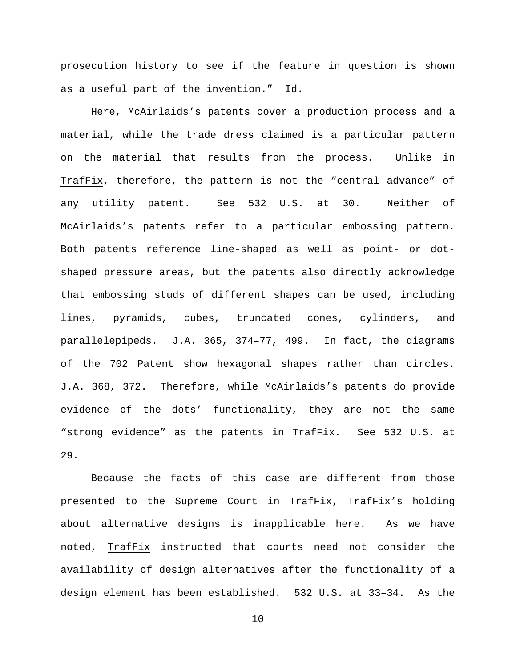prosecution history to see if the feature in question is shown as a useful part of the invention." Id.

Here, McAirlaids's patents cover a production process and a material, while the trade dress claimed is a particular pattern on the material that results from the process. Unlike in TrafFix, therefore, the pattern is not the "central advance" of any utility patent. See 532 U.S. at 30. Neither of McAirlaids's patents refer to a particular embossing pattern. Both patents reference line-shaped as well as point- or dotshaped pressure areas, but the patents also directly acknowledge that embossing studs of different shapes can be used, including lines, pyramids, cubes, truncated cones, cylinders, and parallelepipeds. J.A. 365, 374–77, 499. In fact, the diagrams of the 702 Patent show hexagonal shapes rather than circles. J.A. 368, 372. Therefore, while McAirlaids's patents do provide evidence of the dots' functionality, they are not the same "strong evidence" as the patents in TrafFix. See 532 U.S. at 29.

Because the facts of this case are different from those presented to the Supreme Court in TrafFix, TrafFix's holding about alternative designs is inapplicable here. As we have noted, TrafFix instructed that courts need not consider the availability of design alternatives after the functionality of a design element has been established. 532 U.S. at 33–34. As the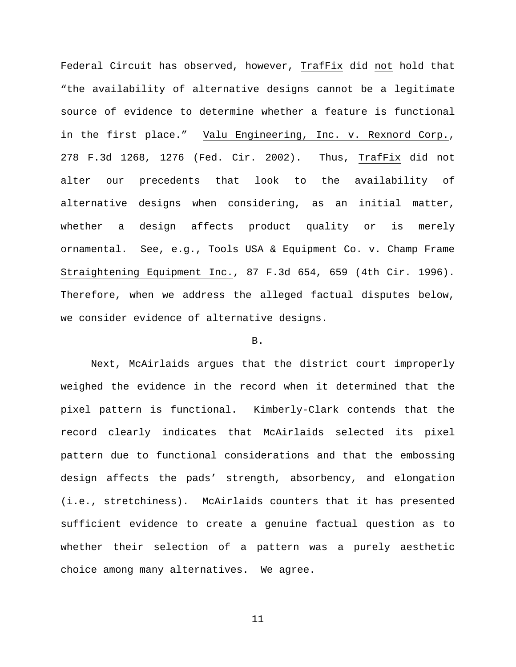Federal Circuit has observed, however, TrafFix did not hold that "the availability of alternative designs cannot be a legitimate source of evidence to determine whether a feature is functional in the first place." Valu Engineering, Inc. v. Rexnord Corp., 278 F.3d 1268, 1276 (Fed. Cir. 2002). Thus, TrafFix did not alter our precedents that look to the availability of alternative designs when considering, as an initial matter, whether a design affects product quality or is merely ornamental. See, e.g., Tools USA & Equipment Co. v. Champ Frame Straightening Equipment Inc., 87 F.3d 654, 659 (4th Cir. 1996). Therefore, when we address the alleged factual disputes below, we consider evidence of alternative designs.

# B.

Next, McAirlaids argues that the district court improperly weighed the evidence in the record when it determined that the pixel pattern is functional. Kimberly-Clark contends that the record clearly indicates that McAirlaids selected its pixel pattern due to functional considerations and that the embossing design affects the pads' strength, absorbency, and elongation (i.e., stretchiness). McAirlaids counters that it has presented sufficient evidence to create a genuine factual question as to whether their selection of a pattern was a purely aesthetic choice among many alternatives. We agree.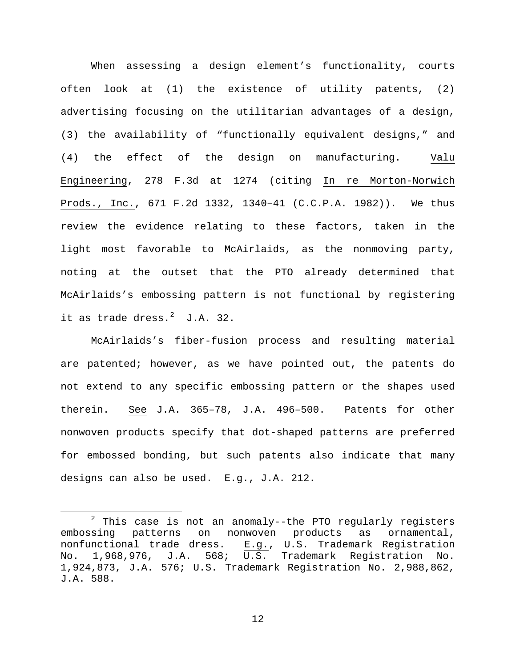When assessing a design element's functionality, courts often look at (1) the existence of utility patents, (2) advertising focusing on the utilitarian advantages of a design, (3) the availability of "functionally equivalent designs," and (4) the effect of the design on manufacturing. Valu Engineering, 278 F.3d at 1274 (citing In re Morton-Norwich Prods., Inc., 671 F.2d 1332, 1340–41 (C.C.P.A. 1982)). We thus review the evidence relating to these factors, taken in the light most favorable to McAirlaids, as the nonmoving party, noting at the outset that the PTO already determined that McAirlaids's embossing pattern is not functional by registering it as trade dress. $2 \text{ J.A. } 32$  $2 \text{ J.A. } 32$ .

McAirlaids's fiber-fusion process and resulting material are patented; however, as we have pointed out, the patents do not extend to any specific embossing pattern or the shapes used therein. See J.A. 365–78, J.A. 496–500. Patents for other nonwoven products specify that dot-shaped patterns are preferred for embossed bonding, but such patents also indicate that many designs can also be used. E.g., J.A. 212.

 $\overline{a}$ 

<span id="page-11-0"></span> $2$  This case is not an anomaly--the PTO regularly registers embossing patterns on nonwoven products as ornamental, nonfunctional trade dress. E.g., U.S. Trademark Registration<br>No. 1,968,976, J.A. 568; U.S. Trademark Registration No. No. 1,968,976, J.A. 568; U.S. Trademark Registration No. 1,924,873, J.A. 576; U.S. Trademark Registration No. 2,988,862, J.A. 588.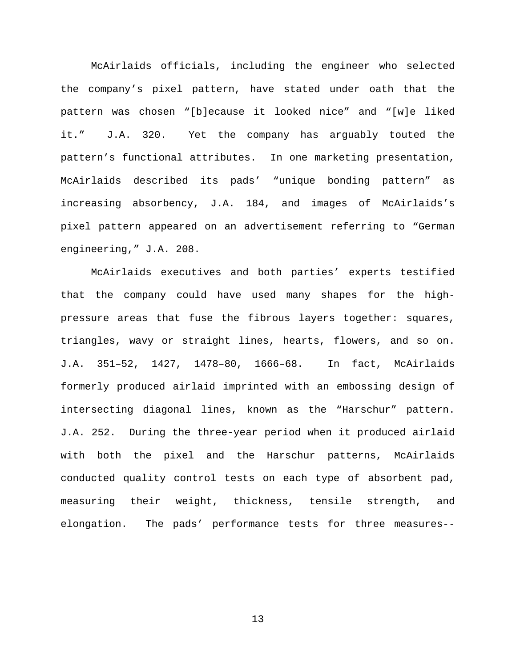McAirlaids officials, including the engineer who selected the company's pixel pattern, have stated under oath that the pattern was chosen "[b]ecause it looked nice" and "[w]e liked it." J.A. 320. Yet the company has arguably touted the pattern's functional attributes. In one marketing presentation, McAirlaids described its pads' "unique bonding pattern" as increasing absorbency, J.A. 184, and images of McAirlaids's pixel pattern appeared on an advertisement referring to "German engineering," J.A. 208.

McAirlaids executives and both parties' experts testified that the company could have used many shapes for the highpressure areas that fuse the fibrous layers together: squares, triangles, wavy or straight lines, hearts, flowers, and so on. J.A. 351–52, 1427, 1478–80, 1666–68. In fact, McAirlaids formerly produced airlaid imprinted with an embossing design of intersecting diagonal lines, known as the "Harschur" pattern. J.A. 252. During the three-year period when it produced airlaid with both the pixel and the Harschur patterns, McAirlaids conducted quality control tests on each type of absorbent pad, measuring their weight, thickness, tensile strength, and elongation. The pads' performance tests for three measures--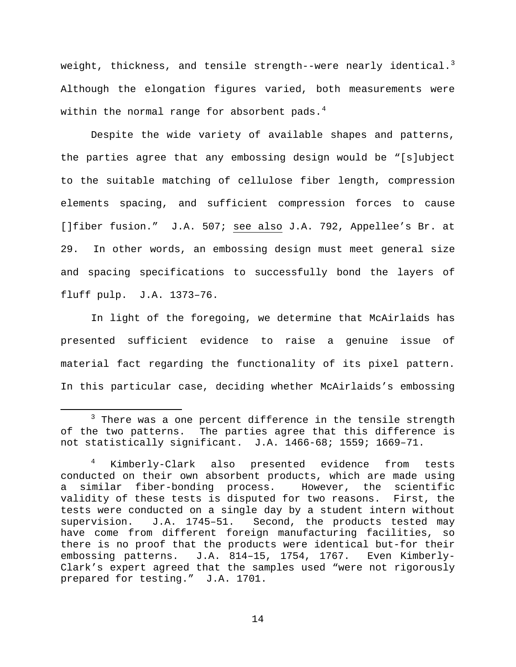weight, thickness, and tensile strength--were nearly identical. $^3$  $^3$ Although the elongation figures varied, both measurements were within the normal range for absorbent pads. $4$ 

Despite the wide variety of available shapes and patterns, the parties agree that any embossing design would be "[s]ubject to the suitable matching of cellulose fiber length, compression elements spacing, and sufficient compression forces to cause []fiber fusion." J.A. 507; see also J.A. 792, Appellee's Br. at 29. In other words, an embossing design must meet general size and spacing specifications to successfully bond the layers of fluff pulp. J.A. 1373–76.

In light of the foregoing, we determine that McAirlaids has presented sufficient evidence to raise a genuine issue of material fact regarding the functionality of its pixel pattern. In this particular case, deciding whether McAirlaids's embossing

 $\overline{a}$ 

<span id="page-13-0"></span> $3$  There was a one percent difference in the tensile strength of the two patterns. The parties agree that this difference is not statistically significant. J.A. 1466-68; 1559; 1669–71.

<span id="page-13-1"></span><sup>4</sup> Kimberly-Clark also presented evidence from tests conducted on their own absorbent products, which are made using a similar fiber-bonding process. However, the scientific validity of these tests is disputed for two reasons. First, the tests were conducted on a single day by a student intern without supervision. J.A. 1745–51. Second, the products tested may have come from different foreign manufacturing facilities, so there is no proof that the products were identical but-for their embossing patterns. J.A. 814–15, 1754, 1767. Even Kimberly-Clark's expert agreed that the samples used "were not rigorously prepared for testing." J.A. 1701.